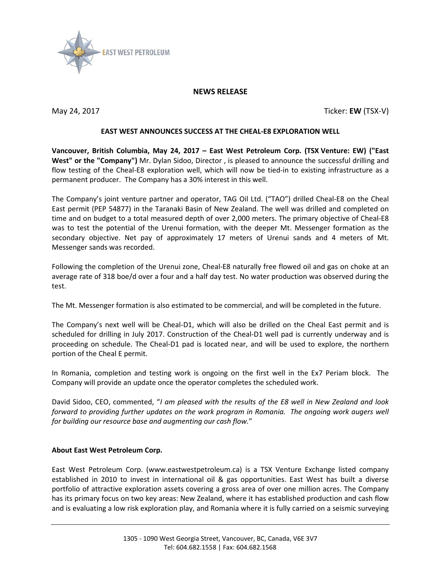

## **NEWS RELEASE**

May 24, 2017 Ticker: **EW** (TSX-V)

## **EAST WEST ANNOUNCES SUCCESS AT THE CHEAL-E8 EXPLORATION WELL**

**Vancouver, British Columbia, May 24, 2017 – East West Petroleum Corp. (TSX Venture: EW) ("East West" or the "Company")** Mr. Dylan Sidoo, Director , is pleased to announce the successful drilling and flow testing of the Cheal-E8 exploration well, which will now be tied-in to existing infrastructure as a permanent producer. The Company has a 30% interest in this well.

The Company's joint venture partner and operator, TAG Oil Ltd. ("TAO") drilled Cheal-E8 on the Cheal East permit (PEP 54877) in the Taranaki Basin of New Zealand. The well was drilled and completed on time and on budget to a total measured depth of over 2,000 meters. The primary objective of Cheal-E8 was to test the potential of the Urenui formation, with the deeper Mt. Messenger formation as the secondary objective. Net pay of approximately 17 meters of Urenui sands and 4 meters of Mt. Messenger sands was recorded.

Following the completion of the Urenui zone, Cheal-E8 naturally free flowed oil and gas on choke at an average rate of 318 boe/d over a four and a half day test. No water production was observed during the test.

The Mt. Messenger formation is also estimated to be commercial, and will be completed in the future.

The Company's next well will be Cheal-D1, which will also be drilled on the Cheal East permit and is scheduled for drilling in July 2017. Construction of the Cheal-D1 well pad is currently underway and is proceeding on schedule. The Cheal-D1 pad is located near, and will be used to explore, the northern portion of the Cheal E permit.

In Romania, completion and testing work is ongoing on the first well in the Ex7 Periam block. The Company will provide an update once the operator completes the scheduled work.

David Sidoo, CEO, commented, "*I am pleased with the results of the E8 well in New Zealand and look forward to providing further updates on the work program in Romania. The ongoing work augers well for building our resource base and augmenting our cash flow.*"

## **About East West Petroleum Corp.**

East West Petroleum Corp. (www.eastwestpetroleum.ca) is a TSX Venture Exchange listed company established in 2010 to invest in international oil & gas opportunities. East West has built a diverse portfolio of attractive exploration assets covering a gross area of over one million acres. The Company has its primary focus on two key areas: New Zealand, where it has established production and cash flow and is evaluating a low risk exploration play, and Romania where it is fully carried on a seismic surveying